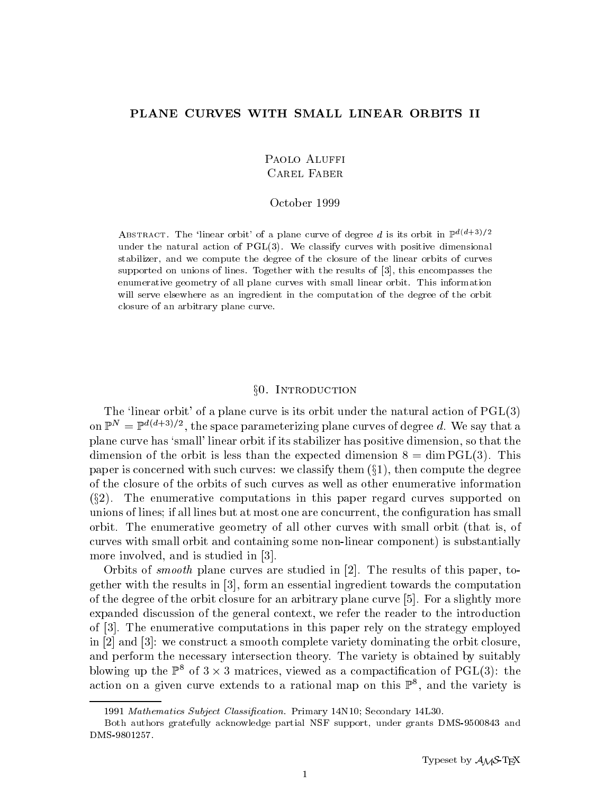## PLANE CURVES WITH SMALL LINEAR ORBITS II

# PAOLO ALUFFI **CAREL FABER**

#### October 1999

ABSTRACT. The 'linear orbit' of a plane curve of degree d is its orbit in  $\mathbb{P}^{d(d+3)/2}$ under the natural action of PGL(3). We classify curves with positive dimensional stabilizer, and we compute the degree of the closure of the linear orbits of curves supported on unions of lines. Together with the results of [3], this encompasses the enumerative geometry of all plane curves with small linear orbit. This information will serve elsewhere as an ingredient in the computation of the degree of the orbit closure of an arbitrary plane curve.

#### §0. INTRODUCTION

The 'linear orbit' of a plane curve is its orbit under the natural action of  $\mathrm{PGL}(3)$ on  $\mathbb{P}^n = \mathbb{P}^{n_1 + \cdots + n_r}$ , the space parameterizing plane curves of degree  $a$ . We say that a plane curve has `small' linear orbit if its stabilizer has positive dimension, so that the dimension of the orbit is less than the expected dimension  $8 = \dim \mathrm{PGL}(3)$ . This paper is concerned with such curves: we classify them  $(\S1)$ , then compute the degree of the closure of the orbits of such curves as well as other enumerative information  $(\S2)$ . The enumerative computations in this paper regard curves supported on unions of lines; if all lines but at most one are concurrent, the conguration has small orbit. The enumerative geometry of all other curves with small orbit (that is, of curves with small orbit and containing some non-linear component) is substantially more involved, and is studied in [3].

Orbits of smooth plane curves are studied in [2]. The results of this paper, together with the results in [3], form an essential ingredient towards the computation of the degree of the orbit closure for an arbitrary plane curve [5]. For a slightly more expanded discussion of the general context, we refer the reader to the introduction of [3]. The enumerative computations in this paper rely on the strategy employed in [2] and [3]: we construct a smooth complete variety dominating the orbit closure, and perform the necessary intersection theory. The variety is obtained by suitably blowing up the  $\mathbb{P}^*$  of  $3 \times 3$  matrices, viewed as a compactincation of PGL(3): the action on a given curve extends to a rational map on this F1, and the variety is

<sup>1991</sup> Mathematics Subject Classification. Primary 14N10; Secondary 14L30.

Both authors gratefully acknowledge partial NSF support, under grants DMS-9500843 and DMS-9801257.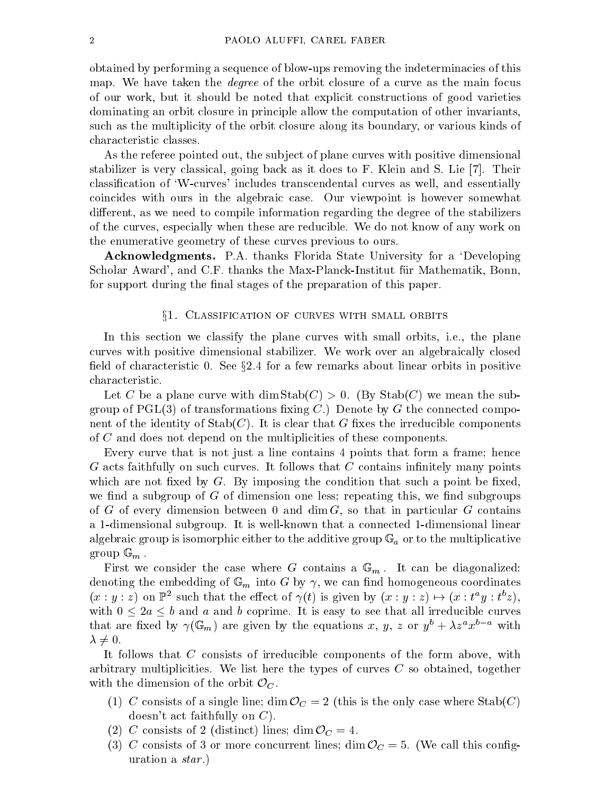obtained by performing a sequence of blow-ups removing the indeterminacies of this map. We have taken the degree of the orbit closure of a curve as the main focus of our work, but it should be noted that explicit constructions of good varieties dominating an orbit closure in principle allow the computation of other invariants, such as the multiplicity of the orbit closure along its boundary, or various kinds of characteristic classes.

As the referee pointed out, the sub ject of plane curves with positive dimensional stabilizer is very classical, going back as it does to F. Klein and S. Lie [7]. Their classication of `W-curves' includes transcendental curves as well, and essentially coincides with ours in the algebraic case. Our viewpoint is however somewhat different, as we need to compile information regarding the degree of the stabilizers of the curves, especially when these are reducible. We do not know of any work on the enumerative geometry of these curves previous to ours.

Acknowledgments. P.A. thanks Florida State University for a `Developing Scholar Award', and C.F. thanks the Max-Planck-Institut fur Mathematik, Bonn, for support during the final stages of the preparation of this paper.

### $\S1.$  CLASSIFICATION OF CURVES WITH SMALL ORBITS

In this section we classify the plane curves with small orbits, i.e., the plane curves with positive dimensional stabilizer. We work over an algebraically closed field of characteristic 0. See  $\S 2.4$  for a few remarks about linear orbits in positive characteristic.

Let C be a plane curve with  $\dim \text{Stab}(C) > 0$ . (By  $\text{Stab}(C)$  we mean the subgroup of  $PGL(3)$  of transformations fixing C.) Denote by G the connected component of the identity of  $\text{Stab}(C)$ . It is clear that G fixes the irreducible components of <sup>C</sup> and does not depend on the multiplicities of these components.

Every curve that is not just a line contains 4 points that form a frame; hence  $G$  acts faithfully on such curves. It follows that  $C$  contains infinitely many points which are not fixed by  $G$ . By imposing the condition that such a point be fixed. we find a subgroup of  $G$  of dimension one less; repeating this, we find subgroups of G of every dimension between 0 and dim  $G$ , so that in particular G contains a 1-dimensional subgroup. It is well-known that a connected 1-dimensional linear algebraic group is isomorphic either to the additive group G a or to the multiplicative group G and the multipl group <sup>G</sup> <sup>m</sup> .

First we considere the case where  $\mathcal{G}$  contains a  $\mathcal{G}(\mathcal{U})$  . It can be diagonal  $\mathcal{G}$  $\Omega$  coording the embedding of G into G by  $\Omega$  by  $\Omega$  by  $\Omega$  by  $\Omega$  by  $\Omega$  by  $\Omega$  $(x : y : z)$  on  $\mathbb{r}$  such that the effect of  $\gamma(t)$  is given by  $(x : y : z) \mapsto (x : t^{-}y : t^{-}z),$ with  $\sim$  2  $\sim$  2 and b constructed complements to see that  $\mu$  is easy to see that all interests constructed that are fixed by  $\gamma(\mathbb{G}_m)$  are given by the equations  $x, y, z$  or  $y\ +\lambda z\ x\qquad$  with  $\lambda \neq 0$ .

It follows that <sup>C</sup> consists of irreducible components of the form above, with arbitrary multiplicities. We list here the types of curves  $C$  so obtained, together with the dimension of the orbit OC .

- (1) C consists of a single line; dimension  $\cup$  = 2 (this is the only case where  $\cup$  case  $\setminus$ doesn't act faithfully on  $C$ ).
- (2) C consists of 2 (distinct) lines; distinction of  $\mathcal{L}$
- $\sim$   $\sim$  consists of 3 or more concurrent lines; dimensionly dimensionly  $\sim$  5. (We call this constant) uration a *star*.)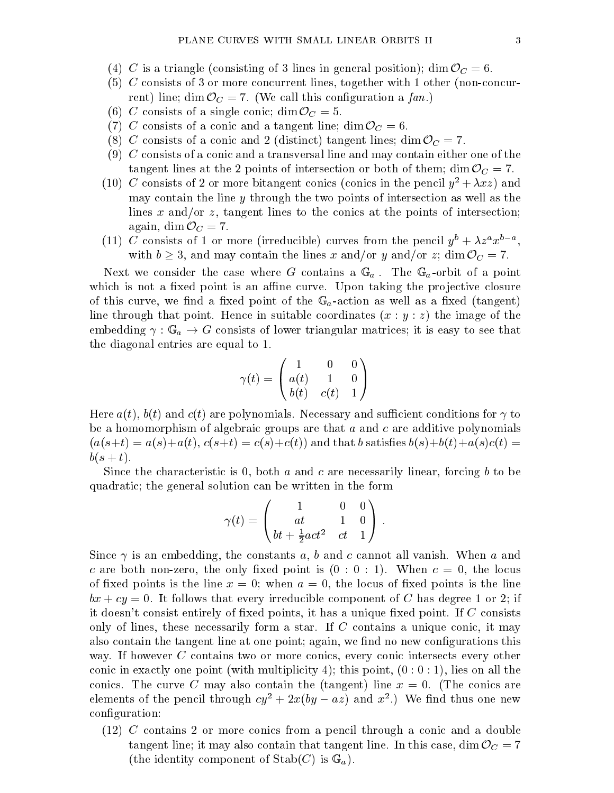- (1) C is a triangle (consistent of  $\alpha$  in general position); dim  $\alpha$  in general position  $\alpha$  in  $\alpha$  . Occurs in  $\alpha$
- (5) <sup>C</sup> consists of 3 or more concurrent lines, together with 1 other (non-concurrent) line; dim OC = 7. (We call this conguration <sup>a</sup> fan.)
- $\begin{array}{ccccccc} \cdot & \cdot & \cdot & \cdot & \cdot & \cdot & \cdot \end{array}$
- (1) C consists of a consistent line; dim  $\alpha$  and a tangent line; dim  $\alpha$  of  $\alpha$
- (8) C consists of a consistence  $\alpha$  (distinction  $\alpha$  ) tangent lines; dimensions, dimensions (2) and  $\alpha$
- $(9)$  C consists of a conic and a transversal line and may contain either one of the tangent lines at the 2 points of intersection orboth orboth orboth orboth orboth orboth orboth orboth orboth o
- (10) C consists of 2 or more bitangent conics (conics in the pencil  $y^2 + \lambda xz$ ) and may contain the line  $y$  through the two points of intersection as well as the lines x and/or z, tangent lines to the conics at the points of intersection:  $\alpha$  and  $\alpha$   $\alpha$   $\alpha$   $\alpha$
- (11) C consists of 1 or more (irreducible) curves from the pencil  $y^+ + \lambda z^+ x^+$ , with <sup>b</sup> 3, and may contain the lines <sup>x</sup> and/or <sup>y</sup> and/or z; dim OC = 7.

Next we consider the case where G contains a  $\mathtt{\omega}_{a}$  . The  $\mathtt{\omega}_{a}$  control of points which is not a fixed point is an affine curve. Upon taking the projective closure of the curve and the curve of the G and a point of the G  $w$  at the G  $w$  as well as well as  $\alpha$  -action (tangent) line through that point. Hence in suitable coordinates  $(x : y : z)$  the image of the embedding : <sup>G</sup> <sup>a</sup> ! <sup>G</sup> consists of lower triangular matrices; it is easy to see that the diagonal entries are equal to 1.

$$
\gamma(t)=\begin{pmatrix}1&0&0\\a(t)&1&0\\b(t)&c(t)&1\end{pmatrix}
$$

Here  $a(t)$ ,  $b(t)$  and  $c(t)$  are polynomials. Necessary and sufficient conditions for  $\gamma$  to be a homomorphism of algebraic groups are that  $a$  and  $c$  are additive polynomials  $(a(s+t) = a(s)+a(t), c(s+t) = c(s)+c(t)$  and that b satisfies  $b(s)+b(t)+a(s)c(t) =$  $b(s + t).$ 

Since the characteristic is 0, both  $a$  and  $c$  are necessarily linear, forcing  $b$  to be quadratic; the general solution can be written in the form

$$
\gamma(t) = \begin{pmatrix} 1 & 0 & 0 \\ at & 1 & 0 \\ bt + \frac{1}{2}act^2 & ct & 1 \end{pmatrix} .
$$

Since  $\gamma$  is an embedding, the constants a, b and c cannot all vanish. When a and c are both non-zero, the only fixed point is  $(0:0:1)$ . When  $c=0$ , the locus of fixed points is the line  $x = 0$ ; when  $a = 0$ , the locus of fixed points is the line  $bx + cy = 0$ . It follows that every irreducible component of C has degree 1 or 2; if it doesn't consist entirely of fixed points, it has a unique fixed point. If  $C$  consists only of lines, these necessarily form a star. If <sup>C</sup> contains a unique conic, it may also contain the tangent line at one point; again, we find no new configurations this way. If however C contains two or more conics, every conic intersects every other conic in exactly one point (with multiplicity 4); this point,  $(0:0:1)$ , lies on all the conics. The curve C may also contain the (tangent) line  $x = 0$ . (The conics are elements of the pencil through  $cy^-+zx(oy-az)$  and  $x^-$ .) We find thus one new configuration:

(12) <sup>C</sup> contains 2 or more conics from a pencil through a conic and a double tanglent may also contain that the tangent line. In this case, we can call that  $\sim$   $\alpha$ (the identity component of Stable ). In  $\mathcal{L}(l)$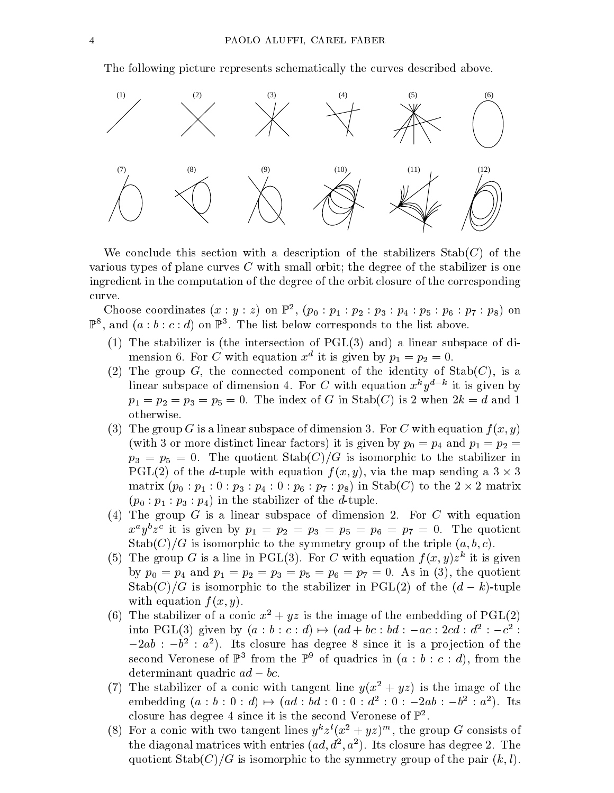The following picture represents schematically the curves described above.



We conclude this section with a description of the stabilizers  $\text{Stab}(C)$  of the various types of plane curves <sup>C</sup> with small orbit; the degree of the stabilizer is one ingredient in the computation of the degree of the orbit closure of the corresponding curve.

Choose coordinates  $(x : y : z)$  on  $\mathbb{F}^-, (\mathcal{p}_0 : \mathcal{p}_1 : \mathcal{p}_2 : \mathcal{p}_3 : \mathcal{p}_4 : \mathcal{p}_5 : \mathcal{p}_6 : \mathcal{p}_7 : \mathcal{p}_8)$  on  $\mathbb{F}^{\times}$ , and  $\{a : b : c : a\}$  on  $\mathbb{F}^{\times}$ . The list below corresponds to the list above.

- (1) The stabilizer is (the intersection of PGL(3) and) a linear subspace of dimension  $\sigma$ . For C with equation x at its given by  $p_1 = p_2 = \sigma$ .
- (2) The group G, the connected component of the identity of  $\text{Stab}(C)$ , is a imear subspace of dimension 4. For C with equation  $x \gamma y$  and is given by  $p_1 = p_2 = p_3 = p_5 = 0$ . The index of G in Stab(C) is 2 when  $2k = d$  and 1 otherwise.
- (3) The group G is a linear subspace of dimension 3. For C with equation  $f(x, y)$ (with 3 or more distinct linear factors) it is given by  $p_0 = p_4$  and  $p_1 = p_2$  $p_3 = p_5 = 0$ . The quotient  $\text{Stab}(C)/G$  is isomorphic to the stabilizer in  $P$  called the d-tuple with equation f ( $\omega$ ; y), via the map sending a  $3 \wedge 3$ matrix (p0 : p1 : 0: p3 : p4 : 0: p6 : p6 : p8) in Stable 2 in State 2 matrix 2 matrix 2 matrix 2 matrix 2 mat  $(p_0 : p_1 : p_3 : p_4)$  in the stabilizer of the *d*-tuple.
- (4) The group G is a linear subspace of dimension 2. For C with equation  $x^2y^2z^2$  it is given by  $p_1 = p_2 = p_3 = p_5 = p_6 = p_7 = 0$ . The quotient  $\mathrm{Stab}(C)/G$  is isomorphic to the symmetry group of the triple  $(a, b, c)$ .
- (5) The group G is a line in PGL(5). For C with equation  $f(x, y)z^2$  it is given by  $p_0 = p_4$  and  $p_1 = p_2 = p_3 = p_5 = p_6 = p_7 = 0$ . As in (3), the quotient Stabilizer is in the state part of the stabilizer in PGL(2) of the (d  $\mu$  -tuple  $\mu$ with equation  $f(x, y)$ .
- (6) The stabilizer of a conic  $x^2 + yz$  is the image of the embedding of PGL(2) into PGL(3) given by  $(a : b : c : a) \mapsto (aa + bc : ba : -ac : 2ca : a^- : -c^- :$  $-2av$ :  $-0$ :  $a$  ). Its closure has degree  $\delta$  since it is a projection of the second veronese of  $\mathbb F$  arount the  $\mathbb F$  -of quadrics in (a : b : c : a), from the determinant quadric ad  $\mathbf{q}_\mathrm{c}$  and  $\mathbf{q}_\mathrm{c}$  adds to be added to be added to be added to be added to be added to be added to be added to be added to be added to be added to be added to be added to be added to be
- (7) The stabilizer of a conic with tangent line  $y(x^2 + yz)$  is the image of the embedding  $(a : b : 0 : a) \mapsto (aa : ba : 0 : 0 : a : 0 : -2ab : -b : a)$ . Its closure has degree 4 since it is the second Veronese of P2 .
- (8) For a conic with two tangent lines  $y^2z^2(x^2 + yz)^{2}$ , the group G consists of the diagonal matrices with entries ( $aa, a_-, a_-$ ). Its closure has degree 2. The  $\hspace{0.2cm}$ quotient  $\text{Stab}(C)/G$  is isomorphic to the symmetry group of the pair  $(k, l)$ .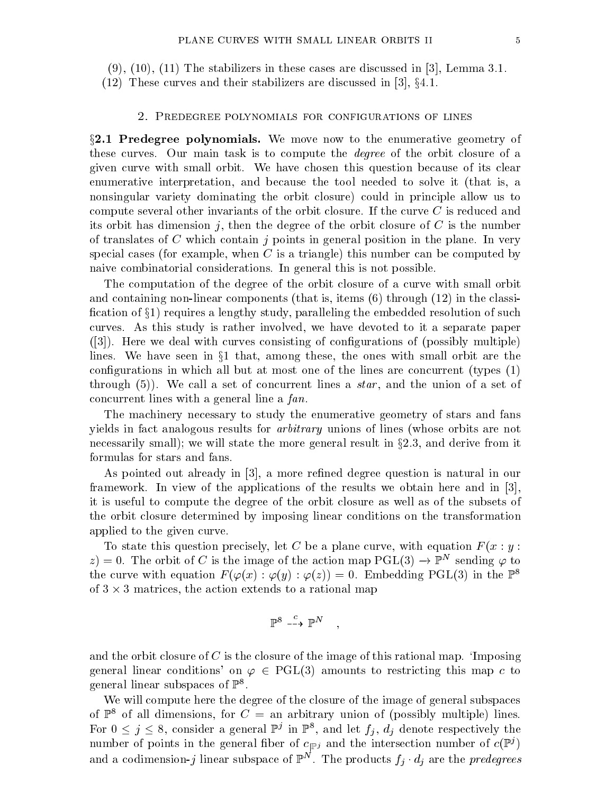$(9)$ ,  $(10)$ ,  $(11)$  The stabilizers in these cases are discussed in [3], Lemma 3.1.

(12) These curves and their stabilizers are discussed in [3],  $\S 4.1$ .

## 2. Predegree polynomials for configurations of lines

 $\S2.1$  Predegree polynomials. We move now to the enumerative geometry of these curves. Our main task is to compute the degree of the orbit closure of a given curve with small orbit. We have chosen this question because of its clear enumerative interpretation, and because the tool needed to solve it (that is, a nonsingular variety dominating the orbit closure) could in principle allow us to compute several other invariants of the orbit closure. If the curve <sup>C</sup> is reduced and its orbit has dimension j, then the degree of the orbit closure of  $C$  is the number of translates of C which contain j points in general position in the plane. In very special cases (for example, when  $C$  is a triangle) this number can be computed by naive combinatorial considerations. In general this is not possible.

The computation of the degree of the orbit closure of a curve with small orbit and containing non-linear components (that is, items (6) through (12) in the classi fication of  $\S1$ ) requires a lengthy study, paralleling the embedded resolution of such curves. As this study is rather involved, we have devoted to it a separate paper  $([3])$ . Here we deal with curves consisting of configurations of (possibly multiple) lines. We have seen in  $\S1$  that, among these, the ones with small orbit are the configurations in which all but at most one of the lines are concurrent (types  $(1)$ ) through  $(5)$ ). We call a set of concurrent lines a *star*, and the union of a set of concurrent lines with a general line a fan.

The machinery necessary to study the enumerative geometry of stars and fans yields in fact analogous results for arbitrary unions of lines (whose orbits are not necessarily small); we will state the more general result in  $\S 2.3$ , and derive from it formulas for stars and fans.

As pointed out already in [3], a more refined degree question is natural in our framework. In view of the applications of the results we obtain here and in [3], it is useful to compute the degree of the orbit closure as well as of the subsets of the orbit closure determined by imposing linear conditions on the transformation applied to the given curve.

To state this question precisely, let C be a plane curve, with equation  $F(x : y : y)$  $z) = 0$ . The orbit of C is the image of the action map  $\mathrm{PGL}(3) \to \mathbb{P}^\ast$  sending  $\varphi$  to the curve with equation  $F(\varphi(x) : \varphi(y) : \varphi(z)) = 0$ . Embedding PGL(3) in the  $\mathbb{P}^8$ of 3 3 matrices, the action extends to a rational map

$$
\mathbb{P}^8 \stackrel{c}{\dashrightarrow} \mathbb{P}^N \quad ,
$$

;

and the orbit closure of C is the closure of the image of this rational map.  $\Omega$  imposing general linear conditions' on  $\varphi \in \text{PGL}(3)$  amounts to restricting this map c to general linear subspaces of  $\mathbb{P}^8$ .

We will compute here the degree of the closure of the image of general subspaces of  $\mathbb{P}^8$  of all dimensions, for  $C =$  an arbitrary union of (possibly multiple) lines. For  $0 \leq j \leq 8$ , consider a general  $\mathbb{P}^j$  in  $\mathbb{P}^{\ast}$ , and let  $j_i, a_j$  denote respectively the number of points in the general fiber of  $c_{\vert \mathbb{P}^j}$  and the intersection number of  $c(\mathbb{P}^j)$ and a codimension-j linear subspace of  $\mathbb{F}_+$  . The products  $f_i \cdot a_i$  are the predegrees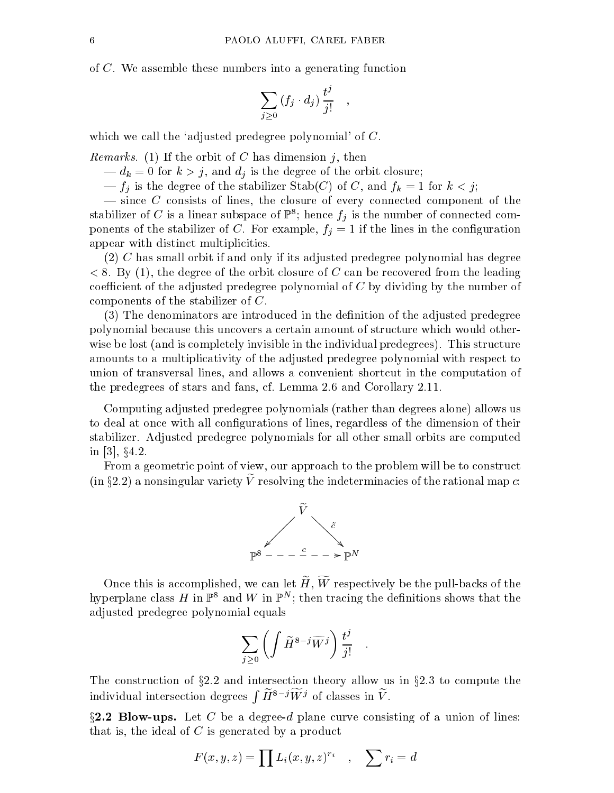of C. We assemble these numbers into a generating function

$$
\sum_{j\geq 0} (f_j \cdot d_j) \, \frac{t^j}{j!} \quad ,
$$

which we call the 'adjusted predegree polynomial' of C.

Remarks. (1) If the orbit of  $\mathcal{C}$  is dimensional j, then  $\mathcal{C}$ 

 $\mathbf{u}$  =  $\mathbf{v}$ , and discussed of the degree of the degree of the orbit closure; the orbit closure; the orbit closure; the orbit closure; the orbit closure; the orbit closure; the orbit closure; the orbit closure; the

 $\mathcal{F}_{i}$  is the degree of the stabilizer Stability  $j$  of C, and fk  $\mathcal{F}_{i}$  ,  $\mathcal{F}_{i}$ 

 $\sim$  since C consists of lines, the closure of every connected component of the stabilizer of  $C$  is a linear subspace of  $\mathbb{F}^*$ ; hence  $f_j$  is the number of connected components of the stabilizer of C. For example,  $f_j = 1$  if the lines in the configuration appear with distinct multiplicities.

 $(2)$  C has small orbit if and only if its adjusted predegree polynomial has degree  $< 8.$  By (1), the degree of the orbit closure of C can be recovered from the leading coefficient of the adjusted predegree polynomial of  $C$  by dividing by the number of components of the stabilizer of C.

(3) The denominators are introduced in the denition of the adjusted predegree polynomial because this uncovers a certain amount of structure which would otherwise be lost (and is completely invisible in the individual predegrees). This structure amounts to a multiplicativity of the adjusted predegree polynomial with respect to union of transversal lines, and allows a convenient shortcut in the computation of the predegrees of stars and fans, cf. Lemma 2.6 and Corollary 2.11.

Computing adjusted predegree polynomials (rather than degrees alone) allows us to deal at once with all configurations of lines, regardless of the dimension of their stabilizer. Adjusted predegree polynomials for all other small orbits are computed in [3], x4.2.

From a geometric point of view, our approach to the problem will be to construct  $(\text{in }32.2)$  a nonsingular variety Veresolving the indeterminacies of the rational map  $c.$ 



Once this is accomplished, we can let  $\widetilde{H}$ ,  $\widetilde{W}$  respectively be the pull-backs of the hyperplane class  $H$  in  $\mathbb{F}^*$  and W in  $\mathbb{F}^*$ ; then tracing the definitions shows that the adjusted predegree polynomial equals

$$
\sum_{j\geq 0}\left(\int \widetilde{H}^{8-j}\widetilde{W}^j\right)\frac{t^j}{j!}\quad.
$$

The construction of  $\S 2.2$  and intersection theory allow us in  $\S 2.3$  to compute the individual intersection degrees  $\int \widetilde{H}^{8-j} \widetilde{W}^j$  of classes in  $\widetilde{V}$ .

 $\S2.2$  Blow-ups. Let C be a degree-d plane curve consisting of a union of lines: that is, the ideal of  $C$  is generated by a product

$$
F(x, y, z) = \prod L_i(x, y, z)^{r_i} \quad , \quad \sum r_i = d
$$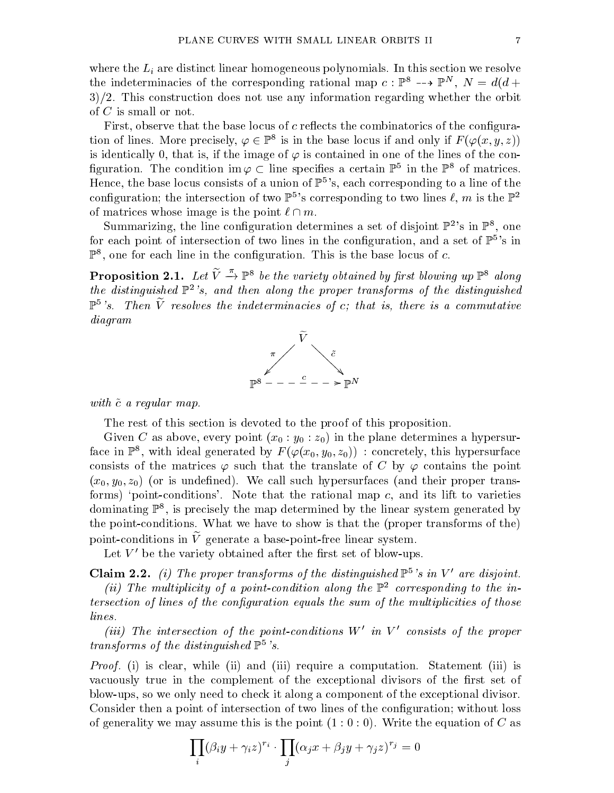where the  $L_i$  are distinct linear homogeneous polynomials. In this section we resolve the indeterminacies of the corresponding rational map  $c : \mathbb{F}$   $\rightarrow$   $\mathbb{F}$ ,  $N = a(a +$  $3/2$ . This construction does not use any information regarding whether the orbit of <sup>C</sup> is small or not.

First, observe that the base locus of  $c$  reflects the combinatorics of the configuration of lines. More precisely,  $\varphi \in \mathbb{P}^{\circ}$  is in the base locus if and only if  $F\left(\varphi(x,y,z)\right)$ is identically 0, that is, if the image of  $\varphi$  is contained in one of the lines of the connguration. The condition im  $\varphi \subset$  line specifies a certain  $\mathbb{P}^\circ$  in the  $\mathbb{P}^\circ$  of matrices. Hence, the base locus consists of a union of  $\mathbb{P}^5$ 's, each corresponding to a line of the configuration; the intersection of two  $\mathbb{P}^3$ 's corresponding to two lines  $\ell, m$  is the  $\mathbb{P}^2$ of matrices whose image is the point ` \ m.

Summarizing, the line configuration determines a set of disjoint  $\mathbb{P}^2$ 's in  $\mathbb{P}^8$ , one for each point of intersection of two lines in the configuration, and a set of  $\mathbb{P}^3$ 's in  $\mathbb F$  , one for each line in the configuration. This is the base locus of  $c.$ 

**Proposition 2.1.** Let  $V \rightarrow \mathbb{P}^{\circ}$  be the variety obtained by first blowing up  $\mathbb{P}^{\circ}$  along the distinguished  $\mathbb{P}^2$ 's, and then along the proper transforms of the distinguished  $\mathbb{P}^5$ 's. Then V resolves the indeterminacies of c; that is, there is a commutative diagram



with communicating contract communications of the communication of the communication of the communication of the communication of the communication of the communication of the communication of the communication of the comm

The rest of this section is devoted to the proof of this proposition.

Given C as above, every point  $(x_0 : y_0 : z_0)$  in the plane determines a hypersurrace in  $\mathbb{P}^\circ,$  with ideal generated by  $F\left( {\varphi (x_0 ,y_0 ,z_0 )} \right)$  : concretely, this hypersurface consists of the matrices  $\varphi$  such that the translate of C by  $\varphi$  contains the point  $(x_0, y_0, z_0)$  (or is undefined). We call such hypersurfaces (and their proper transforms) 'point-conditions'. Note that the rational map  $c$ , and its lift to varieties dominating P8 ,is precisely the map determined by the linear system generated by the point-conditions. What we have to show is that the (proper transforms of the) point-conditions in  $\tilde{V}$  generate a base-point-free linear system.

Let  $V'$  be the variety obtained after the first set of blow-ups.

**Claim 2.2.** (i) The proper transforms of the distinguished  $\mathbb{P}^5$ 's in V' are disjoint.

 $\lceil n \rceil$  The multiplicity of a point-condition along the  $\mathbb{P}^2$  corresponding to the intersection of this of the confident when educate the sum of the multiplicities of the subset of the multiplicit lines.

(iii) The intersection of the point-conditions <sup>W</sup><sup>0</sup> in <sup>V</sup> <sup>0</sup> consists of the proper transforms of the distinguished  $\mathbb{P}^5$ 's.

Proof. (i) is clear, while (ii) and (iii) require a computation. Statement (iii) is vacuously true in the complement of the exceptional divisors of the first set of blow-ups, so we only need to check it along a component of the exceptional divisor. Consider then a point of intersection of two lines of the configuration; without loss of generality we may assume this is the point  $(1:0:0)$ . Write the equation of C as

$$
\prod_i (\beta_i y + \gamma_i z)^{r_i} \cdot \prod_j (\alpha_j x + \beta_j y + \gamma_j z)^{r_j} = 0
$$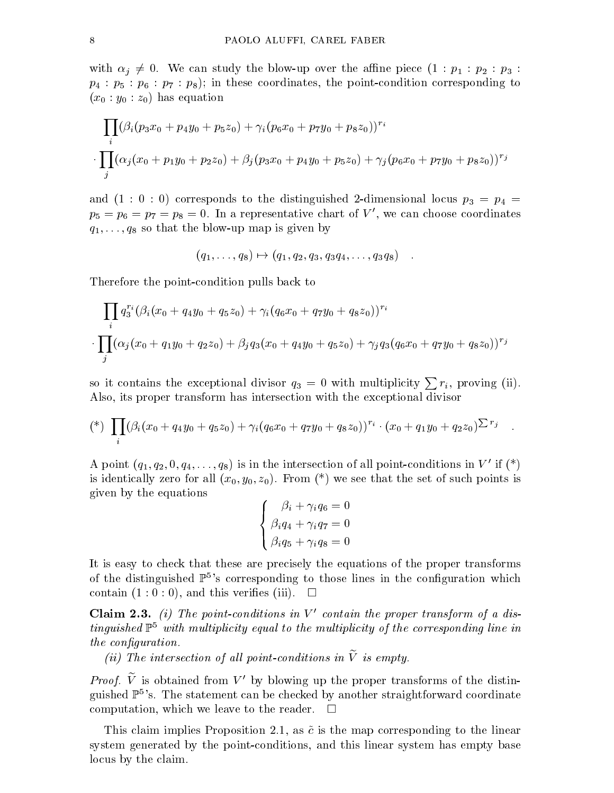with  $\alpha_j \neq 0$ . We can study the blow-up over the affine piece  $(1 : p_1 : p_2 : p_3 :$  $p_4$ :  $p_5$ :  $p_6$ :  $p_7$ :  $p_8$ ); in these coordinates, the point-condition corresponding to  $(x_0 : y_0 : z_0)$  has equation

$$
\prod_{i} (\beta_i (p_3 x_0 + p_4 y_0 + p_5 z_0) + \gamma_i (p_6 x_0 + p_7 y_0 + p_8 z_0))^{r_i}
$$

$$
\cdot \prod_{j} (\alpha_j (x_0 + p_1 y_0 + p_2 z_0) + \beta_j (p_3 x_0 + p_4 y_0 + p_5 z_0) + \gamma_j (p_6 x_0 + p_7 y_0 + p_8 z_0))^{r_j}
$$

and  $(1 : 0 : 0)$  corresponds to the distinguished 2-dimensional locus  $p_3 = p_4$  $p_5 = p_6 = p_7 = p_8 = 0$ . In a representative chart of V', we can choose coordinates  $q_1,\ldots,q_8$  so that the blow-up map is given by

$$
(q_1, \ldots, q_8) \mapsto (q_1, q_2, q_3, q_3 q_4, \ldots, q_3 q_8) \quad .
$$

Therefore the point-condition pulls back to

$$
\prod_i q_3^{r_i} (\beta_i (x_0 + q_4 y_0 + q_5 z_0) + \gamma_i (q_6 x_0 + q_7 y_0 + q_8 z_0))^{r_i}
$$
  

$$
\cdot \prod_j (\alpha_j (x_0 + q_1 y_0 + q_2 z_0) + \beta_j q_3 (x_0 + q_4 y_0 + q_5 z_0) + \gamma_j q_3 (q_6 x_0 + q_7 y_0 + q_8 z_0))^{r_j}
$$

so it contains the exceptional divisor  $q_3 = 0$  with multiplicity  $\sum r_i$ , proving (ii). Also, its proper transform has intersection with the exceptional divisor

$$
(*) \prod_i (\beta_i (x_0 + q_4 y_0 + q_5 z_0) + \gamma_i (q_6 x_0 + q_7 y_0 + q_8 z_0))^{r_i} \cdot (x_0 + q_1 y_0 + q_2 z_0)^{\sum r_j} \quad .
$$

:

A point  $(q_1, q_2, 0, q_4, \ldots, q_8)$  is in the intersection of all point-conditions in V' if (\*) is identically zero for all  $(x_0, y_0, z_0)$ . From  $(*)$  we see that the set of such points is given by the equations

$$
\left\{\begin{array}{l} \beta_i+\gamma_iq_6=0\\ \beta_iq_4+\gamma_iq_7=0\\ \beta_iq_5+\gamma_iq_8=0\end{array}\right.
$$

It is easy to check that these are precisely the equations of the proper transforms of the distinguished  $\mathbb{P}^5$ 's corresponding to those lines in the configuration which contain  $(1:0:0)$ , and this verifies (iii).  $\Box$ 

**Claim 2.3.** (i) The point-conditions in  $V'$  contain the proper transform of a distinguished P5 with multiplicity equal to the multiplicity ofthe corresponding line in the conguration.

 $\{ii\}$  for an external of all point-conditions in  $V$  is empty.

*Proof.* Ve is obtained from Ve by blowing up the proper transforms of the distinguished  $\mathbb{P}^5$ 's. The statement can be checked by another straightforward coordinate computation, which we leave to the reader.  $\mathcal{L}_{\mathcal{A}}$ 

This claim implies Proposition 2.1, as  $\tilde{c}$  is the map corresponding to the linear system generated by the point-conditions, and this linear system has empty base locus by the claim.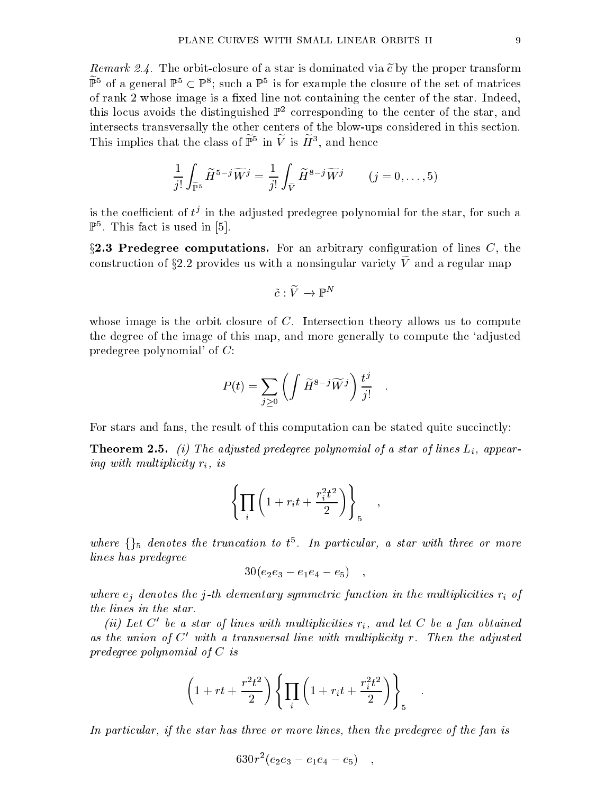The mark  $2.4.$  The orbit-closure of a star is dominated via e by the proper transform  $\mathbb{F}^{\ast}$  of a general  $\mathbb{F}^{\ast}\subset\mathbb{F}^{\ast};$  such a  $\mathbb{F}^{\ast}$  is for example the closure of the set of matrices of rank 2 whose image is a fixed line not containing the center of the star. Indeed, this locus avoids the distinguished  $\mathbb{P}^2$  corresponding to the center of the star, and intersects transversally the other centers of the blow-ups considered in this section. I fils implies that the class of  $\mathbb{P}^+$  in V is  $H^+$ , and hence

$$
\frac{1}{j!} \int_{\widetilde{\mathbb{P}}^5} \widetilde{H}^{5-j} \widetilde{W}^j = \frac{1}{j!} \int_{\widetilde{V}} \widetilde{H}^{8-j} \widetilde{W}^j \qquad (j = 0, \dots, 5)
$$

is the coefficient of  $\nu$  in the adjusted predegree polynomial for the star, for such a  $\mathbb{P}^5$ . This fact is used in [5]. . This factor is used in Fig. , we can expect it used in  $[5.5, 1.5]$  . This factor is used in  $[5.5, 1.5]$ 

 $\S2.3$  Predegree computations. For an arbitrary configuration of lines C, the construction of  $32.2$  provides us with a nonsingular variety  $\ell$  and a regular map

$$
\tilde{c}:\widetilde{V}\to \mathbb{P}^N
$$

whose image is the orbit closure of  $C$ . Intersection theory allows us to compute the degree of the image of this map, and more generally to compute the `adjusted predegree polynomial' of C:

$$
P(t) = \sum_{j\geq 0} \left( \int \widetilde{H}^{8-j} \widetilde{W}^j \right) \frac{t^j}{j!} \quad .
$$

For stars and fans, the result of this computation can be stated quite succinctly:

**Theorem 2.5.** (i) The adjusted predegree polynomial of a star of lines  $L_i$ , appearing with multiplicity ri, is

$$
\left\{\prod_i\left(1+r_it+\frac{r_i^2t^2}{2}\right)\right\}_5\quad,\qquad
$$

where  $\{\}5$  denotes the trancation to  $t^{\pm}$ . In particular, a star with three or more lines has predegree

$$
30(e_2e_3 - e_1e_4 - e_5) ,
$$

where ejements the j-th elementary symmetric j-th elements in the multiplicities ri  $\mathfrak{g}$  -j the lines in the state in the state is a star of the state of the state in the state in the state in the state

(ii) Let  $C$  be a star of times with multiplicities  $r_i$ , and let  $C$  be a fan obtained as the union of  $C$  with a transversal line with multiplicity r. Then the adjusted  $\,$ predegree polynomial of <sup>C</sup> is

$$
\left(1+rt+\frac{r^2t^2}{2}\right)\left\{\prod_i\left(1+r_it+\frac{r_i^2t^2}{2}\right)\right\}_5
$$

In particular, if the star has three or more lines, then the predegree ofthe fan is

$$
630r^2(e_2e_3 - e_1e_4 - e_5) ,
$$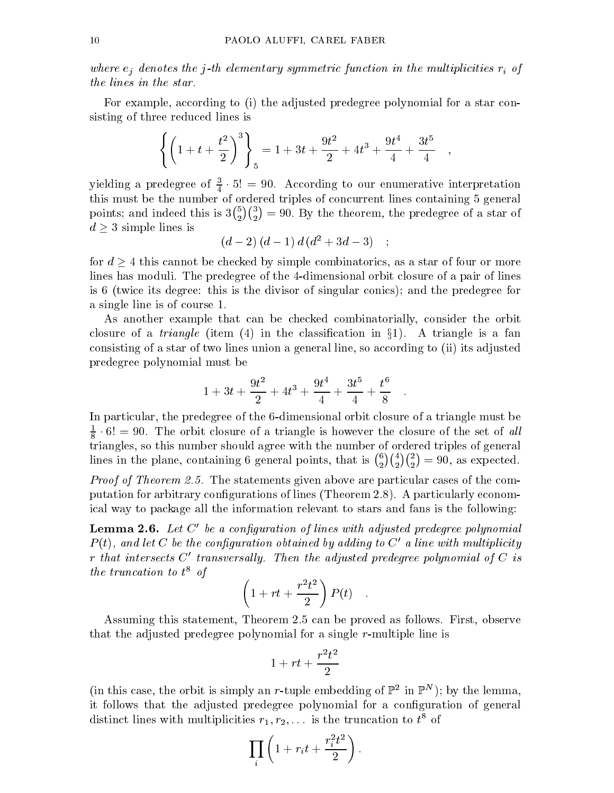where ejements the j-th elementary symmetric j-th elements in the multiplicities ri  $\mathfrak{g}$  -j

For example, according to (i) the adjusted predegree polynomial for a star consisting of three reduced lines is

$$
\left\{ \left( 1 + t + \frac{t^2}{2} \right)^3 \right\}_5 = 1 + 3t + \frac{9t^2}{2} + 4t^3 + \frac{9t^4}{4} + \frac{3t^5}{4} ,
$$

yielding a predegree of  $\frac{1}{4} \cdot 5! = 90$ . According to our enumerative interpretation the number of ordered triples of ordered triples of  $\mathbf{A}$ points; and indeed the indeed the indeed the indeed the indeed the indeed the indeed the indeed the indeed the  ${5 \choose 2}{3 \choose 2} = 90$ . By the theorem, the predegree of a star of d 3 simple lines is the simple state of the simple state of the simple state of the simple state of the simple state of the simple state of the simple state of the simple state of the simple state of the simple state of th

$$
(d-2)(d-1)d(d^2+3d-3)
$$
;

for d  $\mu$  this cannot be checked by simple computerations, as a star of four or more or more  $\mu$ lines has moduli. The predegree of the 4-dimensional orbit closure of a pair of lines is 6 (twice its degree: this is the divisor of singular conics); and the predegree for a single line is of course 1.

As another example that can be checked combinatorially, consider the orbit construction is a triangle (items (  $\sim$  ) and constructed in a fandal  $J=$  ). As triangles in a family consisting of a star of two lines union a general line, so according to (ii) its adjusted predegree polynomial must be

$$
1+3t+\frac{9t^2}{2}+4t^3+\frac{9t^4}{4}+\frac{3t^5}{4}+\frac{t^6}{8}.
$$

In particular, the predegree of the 6-dimensional orbit closure of a triangle must be  $\frac{1}{8} \cdot 0! = 90$ . The orbit closure of a triangle is nowever the closure of the set of all triangles, so this number should agree with the number of ordered triples of general lines in the plane, containing 6 general points, that is  $\binom{6}{2}\binom{4}{2}\binom{2}{2}=90$ , as expected.

 $P$  roof of Theorem  $\omega$ . The statements given above are particular cases of the computation for arbitrary congurations of lines (Theorem 2.8). A particularly economical way to package all the information relevant to stars and fans is the following:

**Lemma 2.6.** Let  $C'$  be a configuration of lines with adjusted predegree polynomial  $P(t)$ , and let C be the configuration obtained by adding to C' a line with multiplicity r that intersects  $C<sup>t</sup>$  transversally. Then the adjusted predegree polynomial of C is the truncation to  $t<sup>2</sup>$  of  $t<sup>3</sup>$ 

$$
\left(1 + rt + \frac{r^2t^2}{2}\right)P(t) .
$$

Assuming this statement, Theorem 2.5 can be proved as follows. First, observe that the adjusted predegree polynomial for a single r-multiple line is

$$
1+rt+\frac{r^2t^2}{2}
$$

(in this case, the orbit is simply an  $r$ -tuple embedding of  $\mathbb{F}^2$  in  $\mathbb{F}^2$  ); by the lemma, it follows that the adjusted predegree polynomial for a configuration of general distinct lines with multiplicities  $r_1, r_2, \ldots$  is the truncation to  $t^8$  of

$$
\prod_i \left(1 + r_i t + \frac{r_i^2 t^2}{2}\right).
$$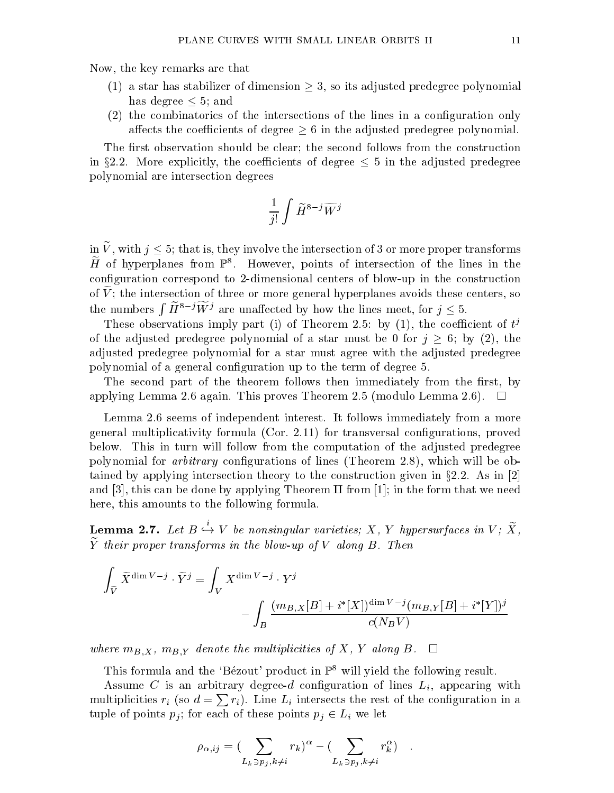Now, the key remarks are that

- (1) a star has star has star has star has star has star has star has been polynomial predegree polynomial predegree polynomial predegree polynomial predegree polynomial predegree polynomial predegree polynomial predegree has degree  $\leq 5$ ; and  $\sim$  5; and  $\sim$
- (2) the combinatorics of the intersections of the lines in a conguration only aects the coecients of degree polynomials of degree polynomials  $\alpha$  in the adjusted predegree polynomial. The adjusted predegree polynomial  $\alpha$

The first observation should be clear; the second follows from the construction in §2.2. More explicitly, the coefficients of degree  $\leq$  5 in the adjusted predegree polynomial are intersection degrees

$$
\frac{1}{j!} \int \widetilde{H}^{8-j} \widetilde{W}^j
$$

in  $V$ , with  $j \leq 3$ , that is, they involve the intersection or 3 or more proper transforms  $\bm{\Pi}$  of hyperplanes from  $\mathbb{F}$  . However, points of intersection of the lines in the conguration correspond to 2-dimensional centers of blow-up in the construction of  $\tilde{V}$ ; the intersection of three or more general hyperplanes avoids these centers, so the numbers  $\int H^{8-j}W^j$  are unaffected by how the lines meet, for  $j \leq 5$ .

These observations imply part (1) of Theorem 2.5: by (1), the coefficient of  $t^j$ of the adjusted predegree polynomial of a star must be defined by  $j \equiv \ell, \; \forall j$  (2), the  $\ell$ adjusted predegree polynomial for a star must agree with the adjusted predegree polynomial of a general conguration up to the term of degree 5.

The second part of the theorem follows then immediately from the first, by applying Lemma 2.6 again. This proves Theorem 2.5 (modulo Lemma 2.6).  $\Box$ 

Lemma 2.6 seems of independent interest. It follows immediately from a more general multiplicativity formula (Cor. 2.11) for transversal congurations, proved below. This in turn willfollow from the computation of the adjusted predegree polynomial for *arbitrary* configurations of lines (Theorem 2.8), which will be obtained by applying intersection theory to the construction given in x2.2. As in [2] and [3], this can be done by applying Theorem II from [1]; in the form that we need here, this amounts to the following formula.

**Lemma 2.7.** Let  $B \hookrightarrow V$  be nonsingular varieties; X, Y hypersurfaces in V; X,  $\widetilde{Y}$  their proper transforms in the blow-up of V along B. Then

$$
\begin{split} \int_{\widetilde{V}} \widetilde{X}^{\dim V - j} \cdot \widetilde{Y}^j & = \int_V X^{\dim V - j} \cdot Y^j \\ & - \int_B \frac{(m_{B,X}[B] + i^*[X])^{\dim V - j} (m_{B,Y}[B] + i^*[Y])^j}{c(N_B V)} \end{split}
$$

where mp;  $X$ , mp; y denote the multiplicities of  $Y$ ,  $Y$  along B.

This formula and the 'Bézout' product in  $\mathbb{P}^8$  will yield the following result.

Assume C is an arbitrary degree-d configuration of lines  $L_i$ , appearing with multiplicities  $r_i$  (so  $d = \sum r_i$ ). Line  $L_i$  intersects the rest of the configuration in a tuple of points points  $\rho$  ; for each of these points  $\rho$  ,  $\rho$   $\tau$   $\tau$   $\tau$ 

$$
\rho_{\alpha,ij} = \left(\sum_{L_k \ni p_j, k \neq i} r_k\right)^{\alpha} - \left(\sum_{L_k \ni p_j, k \neq i} r_k^{\alpha}\right) .
$$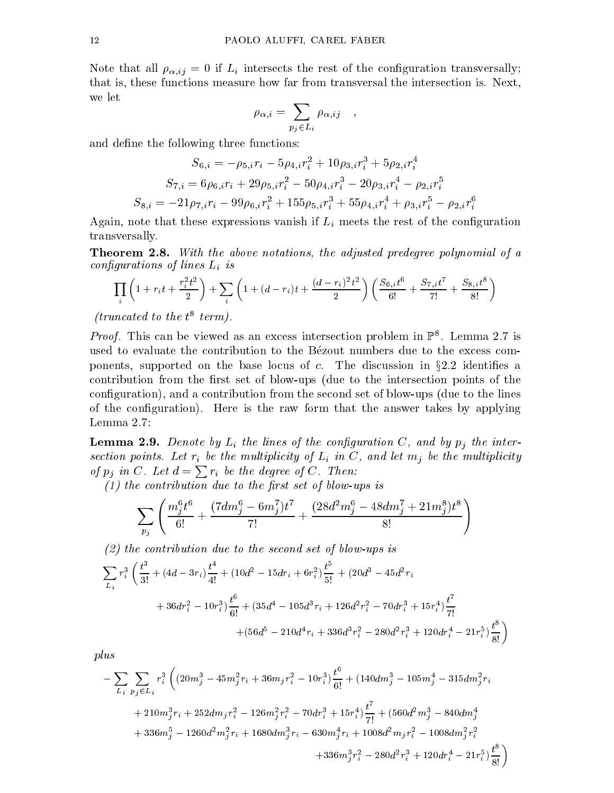Note that all  $\rho_{\alpha,ij} = 0$  if  $L_i$  intersects the rest of the configuration transversally; that is, these functions measure how far from transversal the intersection is. Next, we let

$$
\rho_{\alpha,i} = \sum_{p_j \in L_i} \rho_{\alpha,ij} \quad ,
$$

and define the following three functions:

$$
S_{6,i} = -\rho_{5,i}r_i - 5\rho_{4,i}r_i^2 + 10\rho_{3,i}r_i^3 + 5\rho_{2,i}r_i^4
$$
  
\n
$$
S_{7,i} = 6\rho_{6,i}r_i + 29\rho_{5,i}r_i^2 - 50\rho_{4,i}r_i^3 - 20\rho_{3,i}r_i^4 - \rho_{2,i}r_i^5
$$
  
\n
$$
S_{8,i} = -21\rho_{7,i}r_i - 99\rho_{6,i}r_i^2 + 155\rho_{5,i}r_i^3 + 55\rho_{4,i}r_i^4 + \rho_{3,i}r_i^5 - \rho_{2,i}r_i^6
$$

Again, note that these expressions vanish if  $L_i$  meets the rest of the configuration transversally.

**Theorem 2.8.** With the above notations, the adjusted predegree polynomial of a configurations of lines and lines Lines Lines Lines Lines Lines Lines Lines Lines Lines Lines Lines Lines Lines

$$
\prod_{i} \left(1 + r_i t + \frac{r_i^2 t^2}{2}\right) + \sum_{i} \left(1 + (d - r_i)t + \frac{(d - r_i)^2 t^2}{2}\right) \left(\frac{S_{6,i} t^6}{6!} + \frac{S_{7,i} t^7}{7!} + \frac{S_{8,i} t^8}{8!}\right)
$$

firancated to the  $t^*$  term).

*Proof.* This can be viewed as an excess intersection problem in  $\mathbb{F}^*$ . Lemma 2.7 is used to evaluate the contribution to the Bezout numbers due to the excess components, supported on the base locus of c. The discussion in the discussion in  $\eta$ contribution from the first set of blow-ups (due to the intersection points of the conguration), and a contribution from the second set of blow-ups (due to the lines of the conguration). Here is the raw form that the answer takes by applying Lemma 2.7:

**Lemma 2.9.** Denote by  $L_i$  the lines of the configuration C, and by  $p_i$  the intersection points. Here  $\ell$  is the multiplicity of Li in C, and let million the multiplicity of military of  $p_i$  in C. Let  $d = \sum r_i$  be the degree of C. Then:

(1) the contribution due to the rst set of blow-ups is

$$
\sum_{p_j}\left(\frac{m_j^6t^6}{6!}+\frac{(7dm_j^6-6m_j^7)t^7}{7!}+\frac{(28d^2m_j^6-48dm_j^7+21m_j^8)t^8}{8!}\right)
$$

(2) the contribution due to the second set of blow-ups is

$$
\sum_{L_i} r_i^3 \left( \frac{t^3}{3!} + (4d - 3r_i) \frac{t^4}{4!} + (10d^2 - 15dr_i + 6r_i^2) \frac{t^5}{5!} + (20d^3 - 45d^2r_i + 36dr_i^2 - 10r_i^3) \frac{t^6}{6!} + (35d^4 - 105d^3r_i + 126d^2r_i^2 - 70dr_i^3 + 15r_i^4) \frac{t^7}{7!} + (56d^5 - 210d^4r_i + 336d^3r_i^2 - 280d^2r_i^3 + 120dr_i^4 - 21r_i^5) \frac{t^8}{8!} \right)
$$

$$
-\sum_{L_i}\sum_{p_j\in L_i}r_i^3\left(\left(20m_j^3-45m_j^2r_i+36m_jr_i^2-10r_i^3\right)\frac{t^6}{6!}+\left(140dm_j^3-105m_j^4-315dm_j^2r_i\right.\right.\\ \left.\left.+\left.210m_j^3r_i+252dm_jr_i^2-126m_j^2r_i^2-70dr_i^3+15r_i^4\right)\frac{t^7}{7!}+\left(560d^2m_j^3-840dm_j^4\right.\right.\\ \left.\left.+\left.336m_j^5-1260d^2m_j^2r_i+1680dm_j^3r_i-630m_j^4r_i+1008d^2m_jr_i^2-1008dm_j^2r_i^2\right.\right.\\ \left.\left.+\left.336m_j^3r_i^2-280d^2r_i^3+120dr_i^4-21r_i^5\right)\frac{t^8}{8!}\right)
$$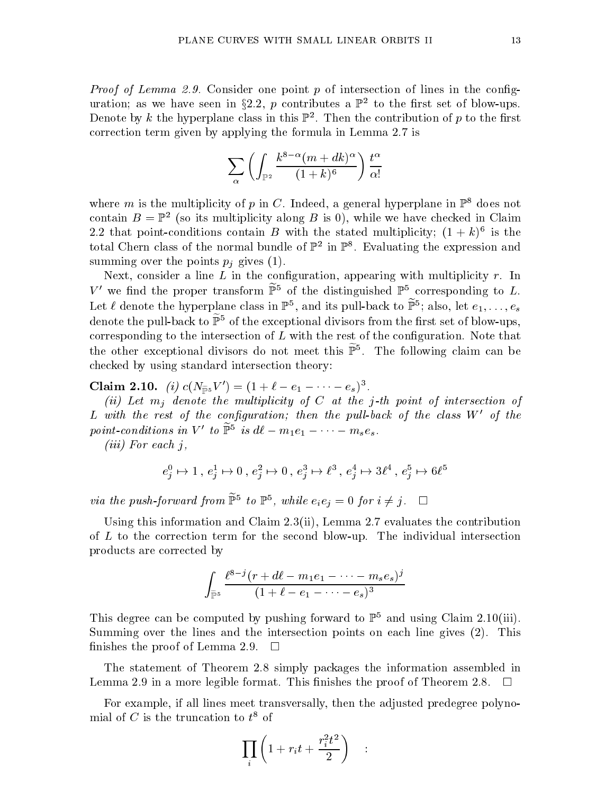Proof of Lemma 2.9. Consider one point <sup>p</sup> of intersection of lines in the conguration; as we have seen in  $32.2, p$  contributes a  $\mathbb{P}^2$  to the first set of blow-ups. Denote by  $\kappa$  the hyperplane class in this  $\mathbb F$  . Then the contribution of  $p$  to the hrst correction term given by applying the formula in Lemma 2.7 is

$$
\sum_{\alpha}\left(\int_{\mathbb{P}^2}\frac{k^{8-\alpha}(m+dk)^{\alpha}}{(1+k)^{6}}\right)\frac{t^{\alpha}}{\alpha!}
$$

where m is the multiplicity of p in C. Indeed, a general hyperplane in  $\mathbb{P}^8$  does not contain  $D = \mathbb{F}^2$  (so its multiplicity along  $D$  is 0), while we have checked in Claim 2.2 that point-conditions contain  $D$  with the stated multiplicity;  $(1 + k)^{\frac{1}{\epsilon}}$  is the total Chern class of the normal bundle of  $\mathbb{P}^2$  in  $\mathbb{P}^2$ . Evaluating the expression and summing over the points  $p_i$  gives (1).

Next, consider a line  $L$  in the configuration, appearing with multiplicity  $r$ . In V' we find the proper transform  $\widetilde{\mathbb{P}}^5$  of the distinguished  $\mathbb{P}^5$  corresponding to L. Let  $\ell$  denote the hyperplane class in  $\mathbb{F}^{\ast},$  and its pull-back to  $\mathbb{F}^{\ast};$  also, let  $e_1,\ldots,e_s$ denote the pull-back to  $\widetilde{\mathbb{P}}^5$  of the exceptional divisors from the first set of blow-ups. corresponding to the intersection of  $L$  with the rest of the configuration. Note that the other exceptional divisors do not meet this  $\mathbb F$  . The following claim can be checked by using standard intersection theory:

**Claim 2.10.** (i)  $c(N_{\widetilde{p}_5}V') = (1 + \ell - e_1 - \cdots - e_s)^3$ .

CLAIM 2.10. (i)  $C(N_{\tilde{p}_5}^s V) = (1 + \ell - e_1 - \cdots - e_s)^s$ .<br>(ii) Let  $m_j$  denote the multiplicity of C at the j-th point of intersection of  $L$  with the rest of the configuration; then the pull-back of the class  $W'$  of the point-conditions in  $V$  to  $\Gamma$  is  $a\ell - m_1e$ 

 $(iii)$  For each j,

$$
e^0_j \mapsto 1 \ , \ e^1_j \mapsto 0 \ , \ e^2_j \mapsto 0 \ , \ e^3_j \mapsto \ell^3 \ , \ e^4_j \mapsto 3 \ell^4 \ , \ e^5_j \mapsto 6 \ell^5
$$

via the push-forward from  $\mathbb{F}$  to  $\mathbb{F}$ , while  $e_ie_j = 0$  for  $i \neq j$ .  $\Box$ 

Using this information and Claim 2.3(ii), Lemma 2.7 evaluates the contribution of  $L$  to the correction term for the second blow-up. The individual intersection products are corrected by

$$
\int_{\widetilde{\mathbb{P}}^5}\frac{\ell^{8-j}(r+d\ell-m_1e_1-\cdots-m_se_s)^j}{(1+\ell-e_1-\cdots-e_s)^3}
$$

 $J_{\mathbb{P}^5}$   $(1 + \ell - e_1 - \cdots - e_s)$ <sup>5</sup><br>This degree can be computed by pushing forward to  $\mathbb{P}^5$  and using Claim 2.10(iii). Summing over the lines and the intersection points on each line gives (2). This finishes the proof of Lemma 2.9.  $\Box$ 

The statement of Theorem 2.8 simply packages the information assembled in Lemma 2.9 in a more legible format. This finishes the proof of Theorem 2.8.  $\Box$ 

For example, if all lines meet transversally, then the adjusted predegree polynomial of C is the truncation to  $t^8$  of

$$
\prod_i \left(1 + r_i t + \frac{r_i^2 t^2}{2}\right) \quad :
$$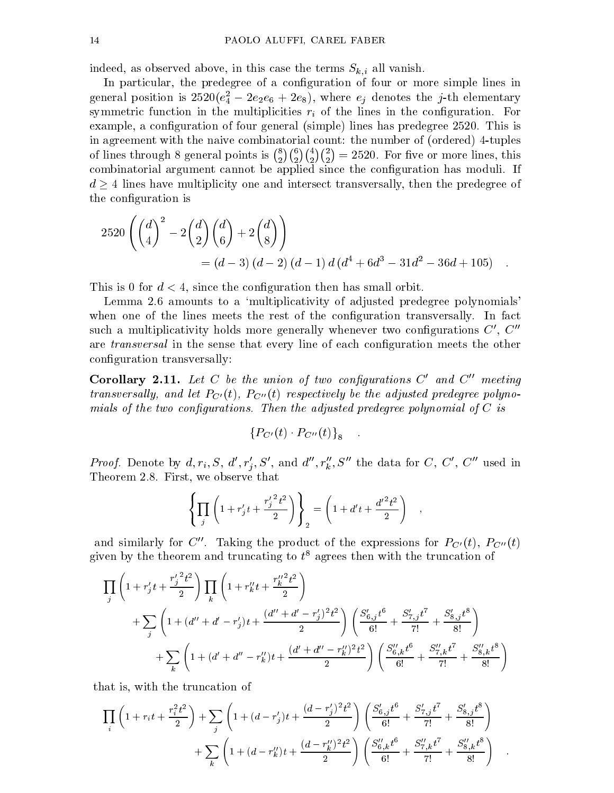indeed, as observed above, in this case the terms  $S_{k,i}$  all vanish.

In particular, the predegree of a configuration of four or more simple lines in general position is  $z$ 520( $e_4$   $-$  2 $e_2e_6$   $+$  2 $e_8$ ), where  $e_j$  denotes the j-th elementary symmetric function in the multiplicities  $r_i$  of the lines in the configuration. For example, a configuration of four general (simple) lines has predegree 2520. This is in agreement with the naive combinatorial count: the number of (ordered) 4-tuples of lines through 8 general points is  $\binom{8}{2}\binom{4}{2}\binom{2}{2}=2520$ . For five or more lines, this combinatorial argument cannot be applied since the conguration has moduli. If d  $-$  denote have the interpretedy ones and intersect transversally, the predeceptive  $\mathbf{p}$ the configuration is

$$
2520\left(\binom{d}{4}^2 - 2\binom{d}{2}\binom{d}{6} + 2\binom{d}{8}\right)
$$
  
=  $(d-3)(d-2)(d-1)d(d^4 + 6d^3 - 31d^2 - 36d + 105)$ .

This is 0 for  $d < 4$ , since the configuration then has small orbit.

Lemma 2.6 amounts to a 'multiplicativity of adjusted predegree polynomials' when one of the lines meets the rest of the configuration transversally. In fact such a multiplicativity holds more generally whenever two configurations  $C', C''$ are *transversal* in the sense that every line of each configuration meets the other conguration transversally:

**Corollary 2.11.** Let C be the union of two configurations  $C'$  and  $C''$  meeting  $t_0$  ansversally, and let  $T_C(t)$ ,  $T_C(0)$  respectively be the adjusted predegree polynomials of the two congurations. Then the adjusted predegree polynomial of <sup>C</sup> is

$$
\left\{P_{C'}(t)\cdot P_{C''}(t)\right\}_8\quad .
$$

*Proof.* Denote by  $a, r_i, S, a, r_j, S$ , and  $a, r_k, S$  the data for  $C, C, C$  wised in Theorem 2.8. First, we observe that

$$
\left\{\prod_j \left(1 + r'_j t + \frac{{r'_j}^2 t^2}{2}\right)\right\}_2 = \left(1 + d't + \frac{{d'}^2 t^2}{2}\right) ,
$$

and similarly for C''. Taking the product of the expressions for  $P_{C'}(t)$ ,  $P_{C''}(t)$ given by the theorem and truncating to  $t^8$  agrees then with the truncation of

$$
\prod_{j} \left( 1 + r'_{j}t + \frac{r'_{j}^{2}t^{2}}{2} \right) \prod_{k} \left( 1 + r''_{k}t + \frac{r''_{k}^{2}t^{2}}{2} \right)
$$
\n
$$
+ \sum_{j} \left( 1 + (d'' + d' - r'_{j})t + \frac{(d'' + d' - r'_{j})^{2}t^{2}}{2} \right) \left( \frac{S'_{6,j}t^{6}}{6!} + \frac{S'_{7,j}t^{7}}{7!} + \frac{S'_{8,j}t^{8}}{8!} \right)
$$
\n
$$
+ \sum_{k} \left( 1 + (d' + d'' - r''_{k})t + \frac{(d' + d'' - r''_{k})^{2}t^{2}}{2} \right) \left( \frac{S''_{6,k}t^{6}}{6!} + \frac{S''_{7,k}t^{7}}{7!} + \frac{S''_{8,k}t^{8}}{8!} \right)
$$

that is, with the truncation of

$$
\prod_{i} \left( 1 + r_i t + \frac{r_i^2 t^2}{2} \right) + \sum_{j} \left( 1 + (d - r'_j)t + \frac{(d - r'_j)^2 t^2}{2} \right) \left( \frac{S'_{6,j} t^6}{6!} + \frac{S'_{7,j} t^7}{7!} + \frac{S'_{8,j} t^8}{8!} \right) + \sum_{k} \left( 1 + (d - r''_k)t + \frac{(d - r''_k)^2 t^2}{2} \right) \left( \frac{S''_{6,k} t^6}{6!} + \frac{S''_{7,k} t^7}{7!} + \frac{S''_{8,k} t^8}{8!} \right)
$$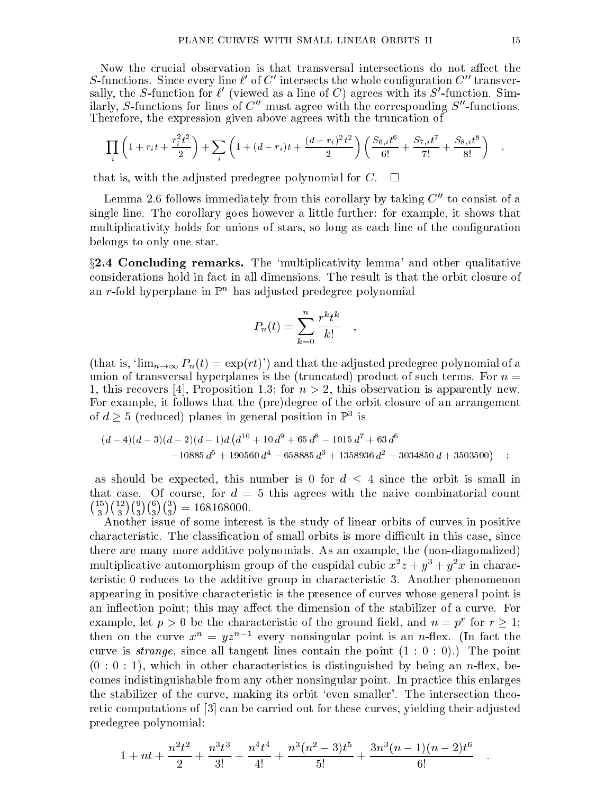Now the crucial observation is that transversal intersections do not affect the  $S$ -functions. Since every line  $\ell$  of  $C$  -intersects the whole configuration  $C$  -transversally, the S-function for  $\ell$  (viewed as a line of C) agrees with its S-function. Similarly, S-functions for lines of  $C''$  must agree with the corresponding  $S''$ -functions. Therefore, the expression given above agrees with the truncation of

$$
\prod_i \left(1 + r_i t + \frac{r_i^2 t^2}{2}\right) + \sum_i \left(1 + (d - r_i)t + \frac{(d - r_i)^2 t^2}{2}\right) \left(\frac{S_{6,i} t^6}{6!} + \frac{S_{7,i} t^7}{7!} + \frac{S_{8,i} t^8}{8!}\right) ,
$$

that is, with the adjusted predegree polynomial for C.  $\Box$ 

Lemma 2.6 follows immediately from this corollary by taking  $C''$  to consist of a single line. The corollary goes however a little further: for example, it shows that multiplicativity holds for unions of stars, so long as each line of the configuration belongs to only one star.

 $\S2.4$  Concluding remarks. The 'multiplicativity lemma' and other qualitative considerations hold in fact in all dimensions. The result is that the orbit closure of an r-fold hyperplane in  $\mathbb{P}^n$  has adjusted predegree polynomial

$$
P_n(t) = \sum_{k=0}^n \frac{r^k t^k}{k!} \quad ,
$$

(that is, ' $\lim_{n\to\infty} P_n(t) = \exp(rt)$ ') and that the adjusted predegree polynomial of a union of transversal hyperplanes is the (truncated) product of such terms. For  $n =$ 1, this recovers [4], Proposition 1.3; for  $n > 2$ , this observation is apparently new. For example, it follows that the (pre)degree of the orbit closure of an arrangement of  $a \geq 3$  (reduced) planes in general position in F  $\,$  is

$$
(d-4)(d-3)(d-2)(d-1)d\left(d^{10}+10d^9+65d^8-1015d^7+63d^6\right)-10885d^5+190560d^4-658885d^3+1358936d^2-3034850d+3503500
$$

as shown be expected, this number is number is  $\frac{1}{\sqrt{2}}$  for this small is small in small in that case. Of course, for  $d = 5$  this agrees with the naive combinatorial count  $\binom{15}{3}\binom{12}{3}\binom{9}{3}\binom{6}{3}\binom{3}{3} = 168168000.$ 

Another issue of some interest is the study of linear orbits of curves in positive characteristic. The classification of small orbits is more difficult in this case, since there are many more additive polynomials. As an example, the (non-diagonalized) multiplicative automorphism group of the cuspidal cubic  $x^2z + y^3 + y^2x$  in characteristic 0 reduces to the additive group in characteristic 3. Another phenomenon appearing in positive characteristic is the presence of curves whose general point is an inflection point; this may affect the dimension of the stabilizer of a curve. For example, let  $p > 0$  be the characteristic of the ground held, and  $n = p$  for  $r \geq 1;$ then on the curve  $x^n = yz^{n-1}$  every nonsingular point is an *n*-flex. (In fact the curve is *strange*, since all tangent lines contain the point  $(1 : 0 : 0)$ .) The point  $(0:0:1)$ , which in other characteristics is distinguished by being an *n*-flex, becomes indistinguishable from any other nonsingular point. In practice this enlarges the stabilizer of the curve, making its orbit `even smaller'. The intersection theoretic computations of [3] can be carried out for these curves, yielding their adjusted predegree polynomial:

$$
1 + nt + \frac{n^2t^2}{2} + \frac{n^3t^3}{3!} + \frac{n^4t^4}{4!} + \frac{n^3(n^2-3)t^5}{5!} + \frac{3n^3(n-1)(n-2)t^6}{6!}
$$